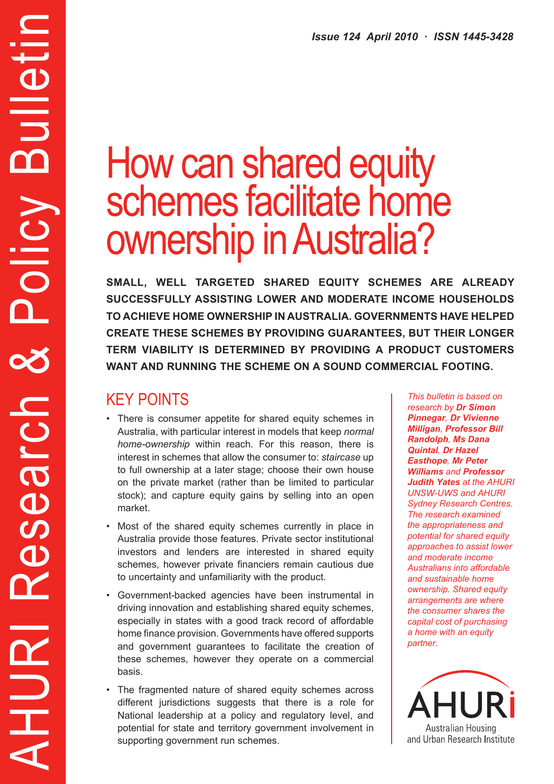# How can shared equity schemes facilitate home ownership in Australia?

**SMALL, WELL TARGETED SHARED EQUITY SCHEMES ARE ALREADY SUCCESSFULLY ASSISTING LOWER AND MODERATE INCOME HOUSEHOLDS TO ACHIEVE HOME OWNERSHIP IN AUSTRALIA. GOVERNMENTS HAVE HELPED CREATE THESE SCHEMES BY PROVIDING GUARANTEES, BUT THEIR LONGER TERM VIABILITY IS DETERMINED BY PROVIDING A PRODUCT CUSTOMERS WANT AND RUNNING THE SCHEME ON A SOUND COMMERCIAL FOOTING.**

## KEY POINTS

- There is consumer appetite for shared equity schemes in Australia, with particular interest in models that keep *normal home-ownership* within reach. For this reason, there is interest in schemes that allow the consumer to: *staircase* up to full ownership at a later stage; choose their own house on the private market (rather than be limited to particular stock); and capture equity gains by selling into an open market.
- Most of the shared equity schemes currently in place in Australia provide those features. Private sector institutional investors and lenders are interested in shared equity schemes, however private financiers remain cautious due to uncertainty and unfamiliarity with the product.
- • Government-backed agencies have been instrumental in driving innovation and establishing shared equity schemes, especially in states with a good track record of affordable home finance provision. Governments have offered supports and government guarantees to facilitate the creation of these schemes, however they operate on a commercial basis.
- The fragmented nature of shared equity schemes across different jurisdictions suggests that there is a role for National leadership at a policy and regulatory level, and potential for state and territory government involvement in supporting government run schemes.

*This bulletin is based on research by Dr Simon Pinnegar, Dr Vivienne Milligan, Professor Bill Randolph, Ms Dana Quintal, Dr Hazel Easthope, Mr Peter Williams and Professor Judith Yates at the AHURI UNSW-UWS and AHURI Sydney Research Centres. The research examined the appropriateness and potential for shared equity approaches to assist lower and moderate income Australians into affordable and sustainable home ownership. Shared equity arrangements are where the consumer shares the capital cost of purchasing a home with an equity partner.*

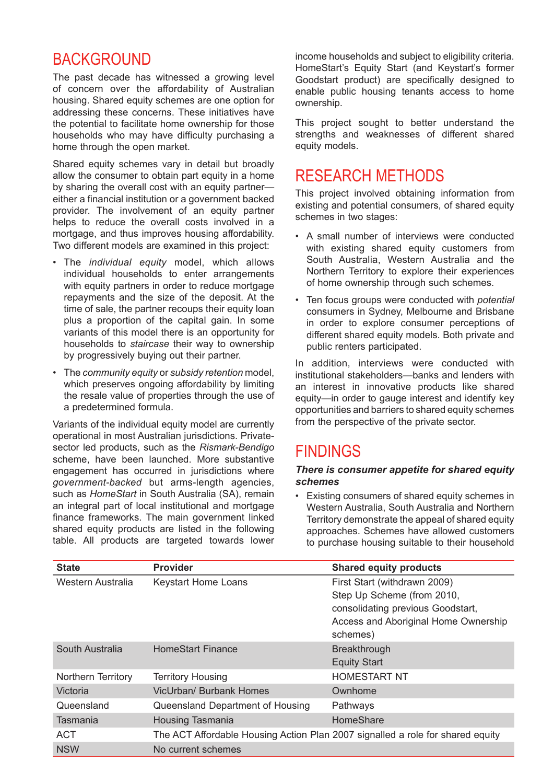## **BACKGROUND**

The past decade has witnessed a growing level of concern over the affordability of Australian housing. Shared equity schemes are one option for addressing these concerns. These initiatives have the potential to facilitate home ownership for those households who may have difficulty purchasing a home through the open market.

Shared equity schemes vary in detail but broadly allow the consumer to obtain part equity in a home by sharing the overall cost with an equity partner either a financial institution or a government backed provider. The involvement of an equity partner helps to reduce the overall costs involved in a mortgage, and thus improves housing affordability. Two different models are examined in this project:

- • The *individual equity* model, which allows individual households to enter arrangements with equity partners in order to reduce mortgage repayments and the size of the deposit. At the time of sale, the partner recoups their equity loan plus a proportion of the capital gain. In some variants of this model there is an opportunity for households to *staircase* their way to ownership by progressively buying out their partner.
- • The *community equity* or *subsidy retention* model, which preserves ongoing affordability by limiting the resale value of properties through the use of a predetermined formula.

Variants of the individual equity model are currently operational in most Australian jurisdictions. Privatesector led products, such as the *Rismark-Bendigo* scheme, have been launched. More substantive engagement has occurred in jurisdictions where *government-backed* but arms-length agencies, such as *HomeStart* in South Australia (SA), remain an integral part of local institutional and mortgage finance frameworks. The main government linked shared equity products are listed in the following table. All products are targeted towards lower

income households and subject to eligibility criteria. HomeStart's Equity Start (and Keystart's former Goodstart product) are specifically designed to enable public housing tenants access to home ownership.

This project sought to better understand the strengths and weaknesses of different shared equity models.

## RESEARCH METHODS

This project involved obtaining information from existing and potential consumers, of shared equity schemes in two stages:

- • A small number of interviews were conducted with existing shared equity customers from South Australia, Western Australia and the Northern Territory to explore their experiences of home ownership through such schemes.
- • Ten focus groups were conducted with *potential* consumers in Sydney, Melbourne and Brisbane in order to explore consumer perceptions of different shared equity models. Both private and public renters participated.

In addition, interviews were conducted with institutional stakeholders—banks and lenders with an interest in innovative products like shared equity—in order to gauge interest and identify key opportunities and barriers to shared equity schemes from the perspective of the private sector.

## FINDINGS

#### *There is consumer appetite for shared equity schemes*

• Existing consumers of shared equity schemes in Western Australia, South Australia and Northern Territory demonstrate the appeal of shared equity approaches. Schemes have allowed customers to purchase housing suitable to their household

| <b>State</b>       | <b>Provider</b>                  | <b>Shared equity products</b>                                                                                                                       |
|--------------------|----------------------------------|-----------------------------------------------------------------------------------------------------------------------------------------------------|
| Western Australia  | <b>Keystart Home Loans</b>       | First Start (withdrawn 2009)<br>Step Up Scheme (from 2010,<br>consolidating previous Goodstart,<br>Access and Aboriginal Home Ownership<br>schemes) |
| South Australia    | <b>HomeStart Finance</b>         | <b>Breakthrough</b><br><b>Equity Start</b>                                                                                                          |
| Northern Territory | <b>Territory Housing</b>         | <b>HOMESTART NT</b>                                                                                                                                 |
| Victoria           | <b>VicUrban/ Burbank Homes</b>   | Ownhome                                                                                                                                             |
| Queensland         | Queensland Department of Housing | Pathways                                                                                                                                            |
| Tasmania           | <b>Housing Tasmania</b>          | HomeShare                                                                                                                                           |
| ACT                |                                  | The ACT Affordable Housing Action Plan 2007 signalled a role for shared equity                                                                      |
| <b>NSW</b>         | No current schemes               |                                                                                                                                                     |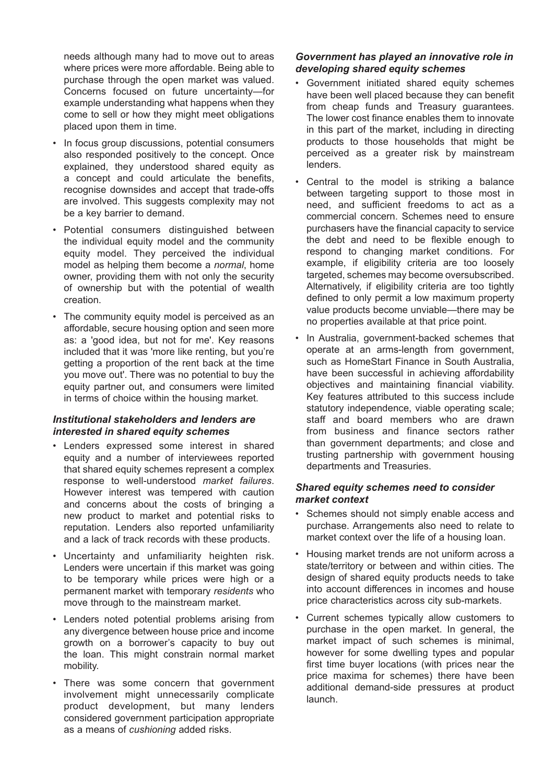needs although many had to move out to areas where prices were more affordable. Being able to purchase through the open market was valued. Concerns focused on future uncertainty—for example understanding what happens when they come to sell or how they might meet obligations placed upon them in time.

- In focus group discussions, potential consumers also responded positively to the concept. Once explained, they understood shared equity as a concept and could articulate the benefits, recognise downsides and accept that trade-offs are involved. This suggests complexity may not be a key barrier to demand.
- • Potential consumers distinguished between the individual equity model and the community equity model. They perceived the individual model as helping them become a *normal*, home owner, providing them with not only the security of ownership but with the potential of wealth creation.
- The community equity model is perceived as an affordable, secure housing option and seen more as: a 'good idea, but not for me'. Key reasons included that it was 'more like renting, but you're getting a proportion of the rent back at the time you move out'. There was no potential to buy the equity partner out, and consumers were limited in terms of choice within the housing market.

#### *Institutional stakeholders and lenders are interested in shared equity schemes*

- • Lenders expressed some interest in shared equity and a number of interviewees reported that shared equity schemes represent a complex response to well-understood *market failures*. However interest was tempered with caution and concerns about the costs of bringing a new product to market and potential risks to reputation. Lenders also reported unfamiliarity and a lack of track records with these products.
- • Uncertainty and unfamiliarity heighten risk. Lenders were uncertain if this market was going to be temporary while prices were high or a permanent market with temporary *residents* who move through to the mainstream market.
- • Lenders noted potential problems arising from any divergence between house price and income growth on a borrower's capacity to buy out the loan. This might constrain normal market mobility.
- There was some concern that government involvement might unnecessarily complicate product development, but many lenders considered government participation appropriate as a means of *cushioning* added risks.

### *Government has played an innovative role in developing shared equity schemes*

- Government initiated shared equity schemes have been well placed because they can benefit from cheap funds and Treasury guarantees. The lower cost finance enables them to innovate in this part of the market, including in directing products to those households that might be perceived as a greater risk by mainstream lenders.
- • Central to the model is striking a balance between targeting support to those most in need, and sufficient freedoms to act as a commercial concern. Schemes need to ensure purchasers have the financial capacity to service the debt and need to be flexible enough to respond to changing market conditions. For example, if eligibility criteria are too loosely targeted, schemes may become oversubscribed. Alternatively, if eligibility criteria are too tightly defined to only permit a low maximum property value products become unviable—there may be no properties available at that price point.
- In Australia, government-backed schemes that operate at an arms-length from government, such as HomeStart Finance in South Australia, have been successful in achieving affordability objectives and maintaining financial viability. Key features attributed to this success include statutory independence, viable operating scale; staff and board members who are drawn from business and finance sectors rather than government departments; and close and trusting partnership with government housing departments and Treasuries.

#### *Shared equity schemes need to consider market context*

- • Schemes should not simply enable access and purchase. Arrangements also need to relate to market context over the life of a housing loan.
- Housing market trends are not uniform across a state/territory or between and within cities. The design of shared equity products needs to take into account differences in incomes and house price characteristics across city sub-markets.
- Current schemes typically allow customers to purchase in the open market. In general, the market impact of such schemes is minimal, however for some dwelling types and popular first time buyer locations (with prices near the price maxima for schemes) there have been additional demand-side pressures at product launch.